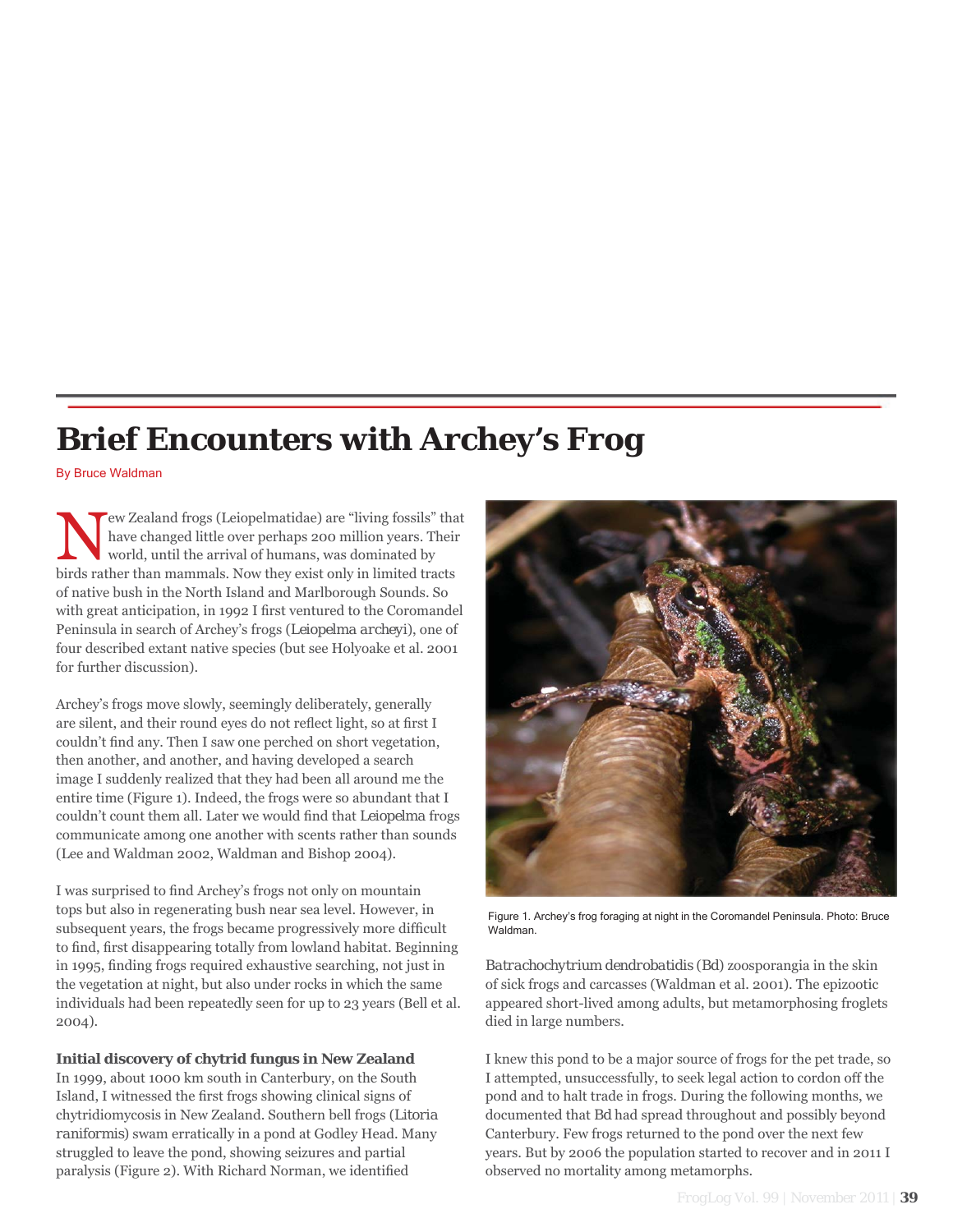# **Brief Encounters with Archey's Frog**

By Bruce Waldman

New Zealand frogs (Leiopelmatidae) are "living fossils" that<br>have changed little over perhaps 200 million years. Their<br>world, until the arrival of humans, was dominated by<br>high arthur manumals. New they wist only in limite have changed little over perhaps 200 million years. Their world, until the arrival of humans, was dominated by birds rather than mammals. Now they exist only in limited tracts of native bush in the North Island and Marlborough Sounds. So with great anticipation, in 1992 I first ventured to the Coromandel Peninsula in search of Archey's frogs (*Leiopelma archeyi*), one of four described extant native species (but see Holyoake et al. 2001 for further discussion).

Archey's frogs move slowly, seemingly deliberately, generally are silent, and their round eyes do not reflect light, so at first I couldn't find any. Then I saw one perched on short vegetation, then another, and another, and having developed a search image I suddenly realized that they had been all around me the entire time (Figure 1). Indeed, the frogs were so abundant that I couldn't count them all. Later we would find that *Leiopelma* frogs communicate among one another with scents rather than sounds (Lee and Waldman 2002, Waldman and Bishop 2004).

I was surprised to find Archey's frogs not only on mountain tops but also in regenerating bush near sea level. However, in subsequent years, the frogs became progressively more difficult to find, first disappearing totally from lowland habitat. Beginning in 1995, finding frogs required exhaustive searching, not just in the vegetation at night, but also under rocks in which the same individuals had been repeatedly seen for up to 23 years (Bell et al. 2004).

**Initial discovery of chytrid fungus in New Zealand**

In 1999, about 1000 km south in Canterbury, on the South Island, I witnessed the first frogs showing clinical signs of chytridiomycosis in New Zealand. Southern bell frogs (*Litoria raniformis*) swam erratically in a pond at Godley Head. Many struggled to leave the pond, showing seizures and partial paralysis (Figure 2). With Richard Norman, we identified



Figure 1. Archey's frog foraging at night in the Coromandel Peninsula. Photo: Bruce Waldman.

*Batrachochytrium dendrobatidis* (*Bd*) zoosporangia in the skin of sick frogs and carcasses (Waldman et al. 2001). The epizootic appeared short-lived among adults, but metamorphosing froglets died in large numbers.

I knew this pond to be a major source of frogs for the pet trade, so I attempted, unsuccessfully, to seek legal action to cordon off the pond and to halt trade in frogs. During the following months, we documented that *Bd* had spread throughout and possibly beyond Canterbury. Few frogs returned to the pond over the next few years. But by 2006 the population started to recover and in 2011 I observed no mortality among metamorphs.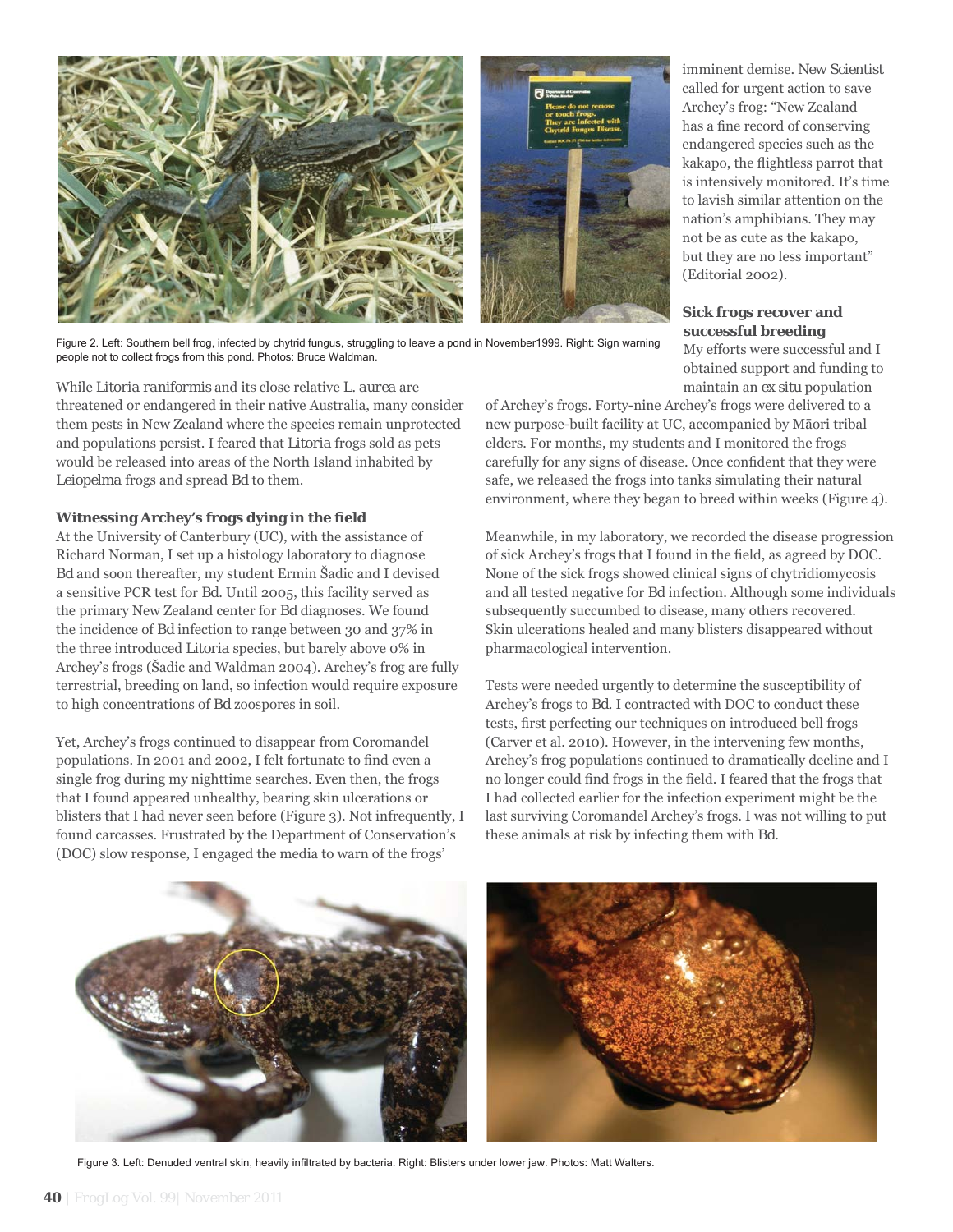

Figure 2. Left: Southern bell frog, infected by chytrid fungus, struggling to leave a pond in November1999. Right: Sign warning people not to collect frogs from this pond. Photos: Bruce Waldman.

While *Litoria raniformis* and its close relative *L. aurea* are threatened or endangered in their native Australia, many consider them pests in New Zealand where the species remain unprotected and populations persist. I feared that *Litoria* frogs sold as pets would be released into areas of the North Island inhabited by *Leiopelma* frogs and spread *Bd* to them.

## **Witnessing Archey's frogs dying in the field**

At the University of Canterbury (UC), with the assistance of Richard Norman, I set up a histology laboratory to diagnose *Bd* and soon thereafter, my student Ermin Šadic and I devised a sensitive PCR test for *Bd*. Until 2005, this facility served as the primary New Zealand center for *Bd* diagnoses. We found the incidence of *Bd* infection to range between 30 and 37% in the three introduced *Litoria* species, but barely above 0% in Archey's frogs (Šadic and Waldman 2004). Archey's frog are fully terrestrial, breeding on land, so infection would require exposure to high concentrations of *Bd* zoospores in soil.

Yet, Archey's frogs continued to disappear from Coromandel populations. In 2001 and 2002, I felt fortunate to find even a single frog during my nighttime searches. Even then, the frogs that I found appeared unhealthy, bearing skin ulcerations or blisters that I had never seen before (Figure 3). Not infrequently, I found carcasses. Frustrated by the Department of Conservation's (DOC) slow response, I engaged the media to warn of the frogs'

imminent demise. *New Scientist* called for urgent action to save Archey's frog: "New Zealand has a fine record of conserving endangered species such as the kakapo, the flightless parrot that is intensively monitored. It's time to lavish similar attention on the nation's amphibians. They may not be as cute as the kakapo, but they are no less important" (Editorial 2002).

# **Sick frogs recover and successful breeding**

My efforts were successful and I obtained support and funding to maintain an *ex situ* population

of Archey's frogs. Forty-nine Archey's frogs were delivered to a new purpose-built facility at UC, accompanied by Māori tribal elders. For months, my students and I monitored the frogs carefully for any signs of disease. Once confident that they were safe, we released the frogs into tanks simulating their natural environment, where they began to breed within weeks (Figure 4).

Meanwhile, in my laboratory, we recorded the disease progression of sick Archey's frogs that I found in the field, as agreed by DOC. None of the sick frogs showed clinical signs of chytridiomycosis and all tested negative for *Bd* infection. Although some individuals subsequently succumbed to disease, many others recovered. Skin ulcerations healed and many blisters disappeared without pharmacological intervention.

Tests were needed urgently to determine the susceptibility of Archey's frogs to *Bd*. I contracted with DOC to conduct these tests, first perfecting our techniques on introduced bell frogs (Carver et al. 2010). However, in the intervening few months, Archey's frog populations continued to dramatically decline and I no longer could find frogs in the field. I feared that the frogs that I had collected earlier for the infection experiment might be the last surviving Coromandel Archey's frogs. I was not willing to put these animals at risk by infecting them with *Bd*.



Figure 3. Left: Denuded ventral skin, heavily infiltrated by bacteria. Right: Blisters under lower jaw. Photos: Matt Walters.